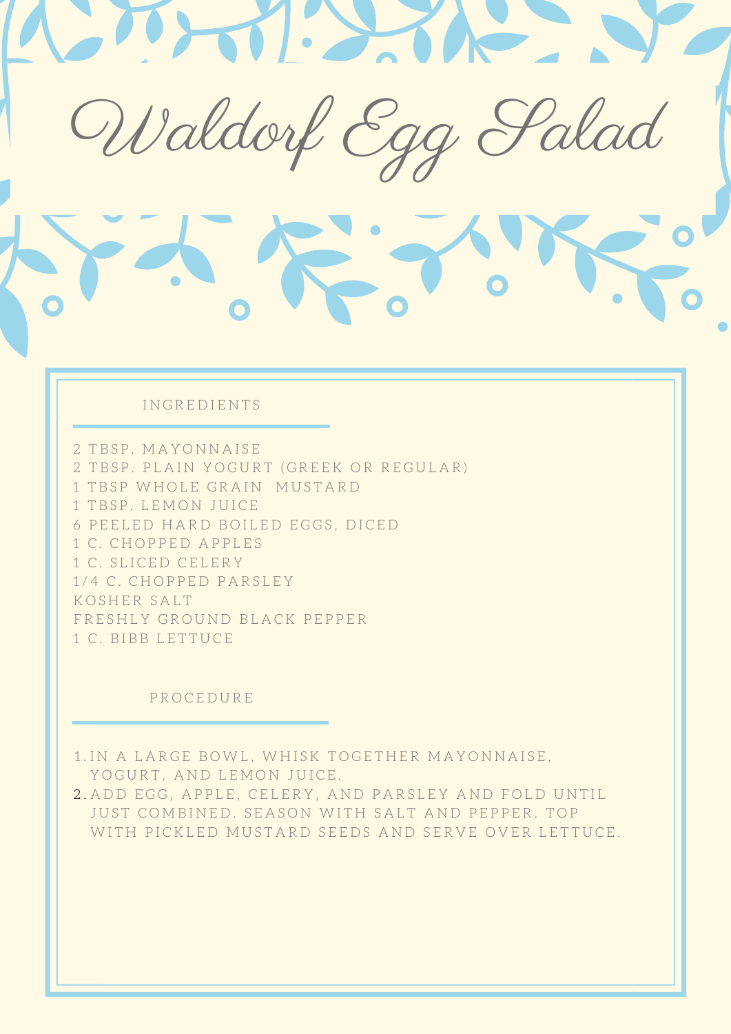

## IN GREDIENTS

2 TBSP. MAYONNAISE 2 TBSP. PLAIN YOGURT (GREEK OR REGULAR) 1 TBSP WHOLE GRAIN MUSTARD 1 TBSP. LEMON JUICE 6 PEELED HARD BOILED EGGS, DICED 1 C. CHOPPED APPLES 1 C. SLICED CELERY 1 / 4 C . C H O P P E D P A R S L E Y F R E S H L Y G R O U N D B L A C K P E P P E R 1 C. BIBB LETTUCE K O SHER SAIT

#### **PROCEDURE**

1.IN A LARGE BOWL, WHISK TOGETHER MAYONNAISE, YOGURT, AND LEMON JUICE.

2.ADD EGG, APPLE, CELERY, AND PARSLEY AND FOLD UNTIL JUST COMBINED. SEASON WITH SALT AND PEPPER. TOP WITH PICKLED MUSTARD SEEDS AND SERVE OVER LETTUCE.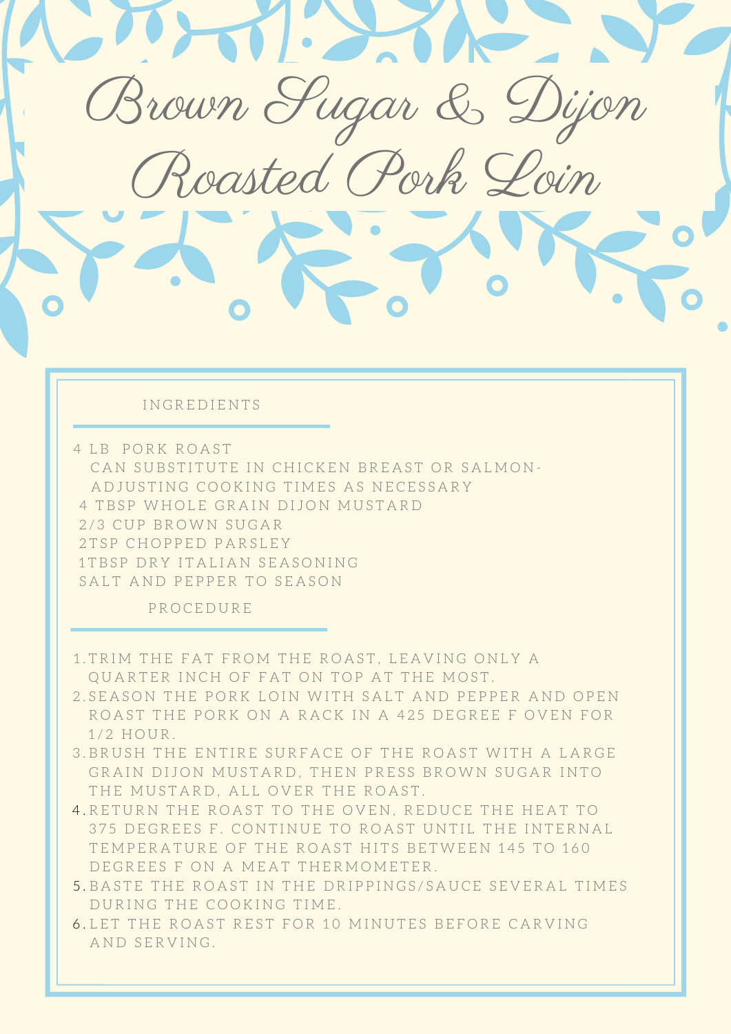

4 TBSP WHOLE GRAIN DIJON MUSTARD 2/3 CUP BROWN SUGAR 2TSP CHOPPED PARSLEY 1 TBSP DRY ITALIAN SEASONING

SALT AND PEPPER TO SEASON

- 1.TRIM THE FAT FROM THE ROAST, LEAVING ONLY A QUARTER INCH OF FAT ON TOP AT THE MOST.
- 2.SEASON THE PORK LOIN WITH SALT AND PEPPER AND OPEN ROAST THE PORK ON A RACK IN A 425 DEGREE F OVEN FOR 1/2 HOUR.
- 3.BRUSH THE ENTIRE SURFACE OF THE ROAST WITH A LARGE GRAIN DIJON MUSTARD, THEN PRESS BROWN SUGAR INTO THE MUSTARD, ALL OVER THE ROAST.
- 4.RETURN THE ROAST TO THE OVEN, REDUCE THE HEAT TO 375 DEGREES F. CONTINUE TO ROAST UNTIL THE INTERNAL TEMPERATURE OF THE ROAST HITS BETWEEN 145 TO 160 DEGREES F ON A MEAT THERMOMETER.
- 5.BASTE THE ROAST IN THE DRIPPINGS/SAUCE SEVERAL TIMES DURING THE COOKING TIME.
- 6.LET THE ROAST REST FOR 10 MINUTES BEFORE CARVING AND SERVING.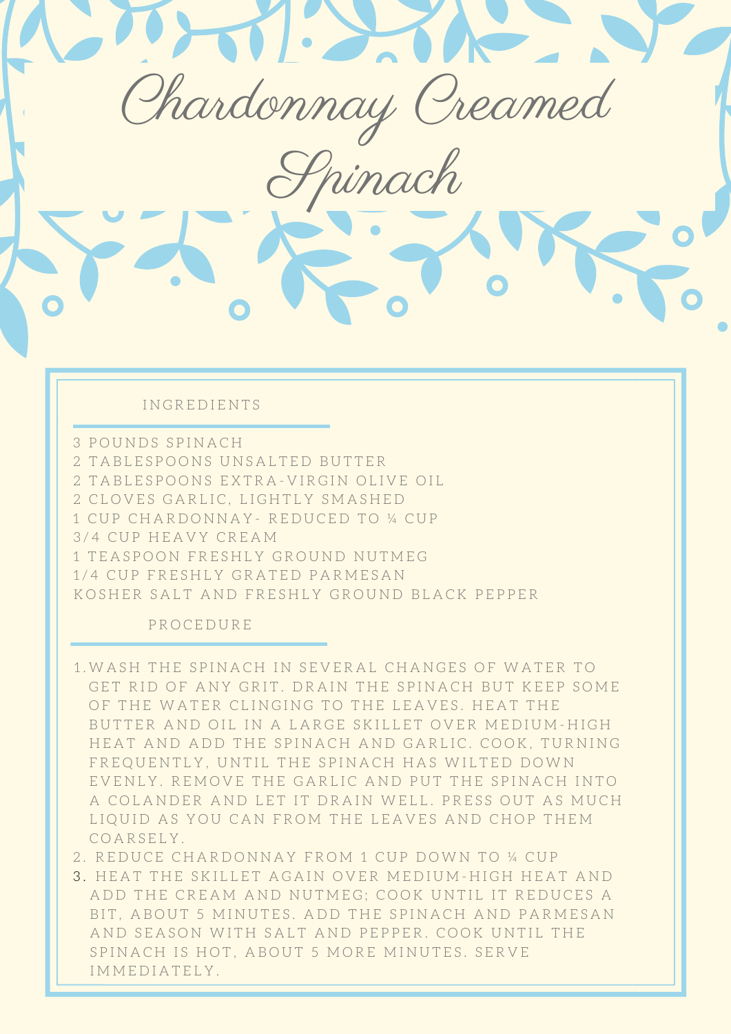IN GREDIENTS

.....

2 TABLESPOONS EXTRA-VIRGIN OLIVE OIL 1 CUP CHARDONNAY- REDUCED TO ¼ CUP 3/4 CUP HEAVY CREAM 1/4 CUP FRESHLY GRATED PARMESAN KOSHER SALT AND FRESHLY GROUND BLACK PEPPER 3 POUNDS SPINACH 2 TABLESPOONS UNSALTED BUTTER 2 CLOVES GARLIC, LIGHTLY SMASHED 1 TEASPOON FRESHLY GROUND NUTMEG

0 0

Chardonnay Creamed

Spinach

0

•

- 1. WASH THE SPINACH IN SEVERAL CHANGES OF WATER TO GET RID OF ANY GRIT. DRAIN THE SPINACH BUT KEEP SOME OF THE WATER CLINGING TO THE LEAVES. HEAT THE BUTTER AND OIL IN A LARGE SKILLET OVER MEDIUM-HIGH HEAT AND ADD THE SPINACH AND GARLIC. COOK, TURNING FREQUENTLY, UNTIL THE SPINACH HAS WILTED DOWN EVENLY. REMOVE THE GARLIC AND PUT THE SPINACH INTO A COLANDER AND LET IT DRAIN WELL. PRESS OUT AS MUCH LIQUID AS YOU CAN FROM THE LEAVES AND CHOP THEM COARSELY.
- 2. REDUCE CHARDONNAY FROM 1 CUP DOWN TO ¼ CUP
- 3. HEAT THE SKILLET AGAIN OVER MEDIUM-HIGH HEAT AND ADD THE CREAM AND NUTMEG; COOK UNTIL IT REDUCES A BIT, ABOUT 5 MINUTES. ADD THE SPINACH AND PARMESAN AND SEASON WITH SALT AND PEPPER. COOK UNTIL THE SPINACH IS HOT, ABOUT 5 MORE MINUTES. SERVE IMMEDIATELY.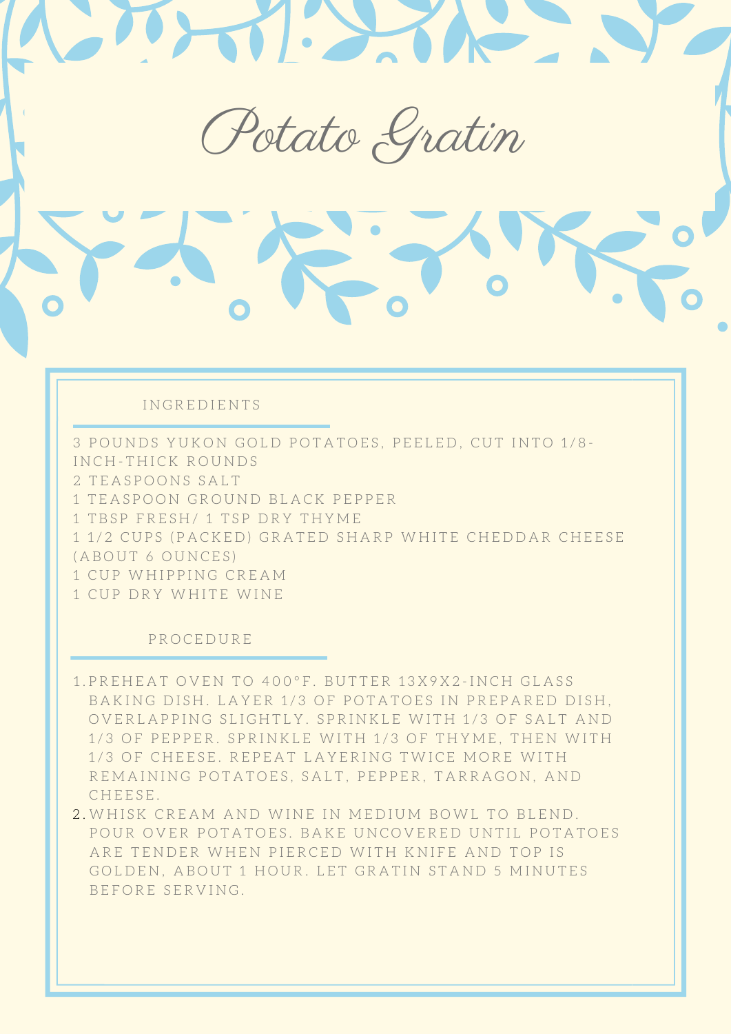Potato Gratin

0

•

#### I N G R E D I E N T S

.....

3 POUNDS YUKON GOLD POTATOES, PEELED, CUT INTO 1/8-1 TEASPOON GROUND BLACK PEPPER 1 TBSP FRESH/ 1 TSP DRY THYME 1 1/2 CUPS (PACKED) GRATED SHARP WHITE CHEDDAR CHEESE ( A B O U T 6 O U N C E S ) 1 CUP WHIPPING CREAM 1 CUP DRY WHITE WINE INCH-THICK ROUNDS 2 TEASPOONS SALT

0 0

- 1.PREHEAT OVEN TO 400°F. BUTTER 13X9X2-INCH GLASS BAKING DISH. LAYER 1/3 OF POTATOES IN PREPARED DISH, OVERLAPPING SLIGHTLY. SPRINKLE WITH 1/3 OF SALT AND 1/3 OF PEPPER. SPRINKLE WITH 1/3 OF THYME, THEN WITH 1/3 OF CHEESE. REPEAT LAYERING TWICE MORE WITH REMAINING POTATOES, SALT, PEPPER, TARRAGON, AND CHEESE.
- 2. WHISK CREAM AND WINE IN MEDIUM BOWL TO BLEND. POUR OVER POTATOES. BAKE UNCOVERED UNTIL POTATOES ARE TENDER WHEN PIERCED WITH KNIFE AND TOP IS GOLDEN, ABOUT 1 HOUR. LET GRATIN STAND 5 MINUTES BEFORE SERVING.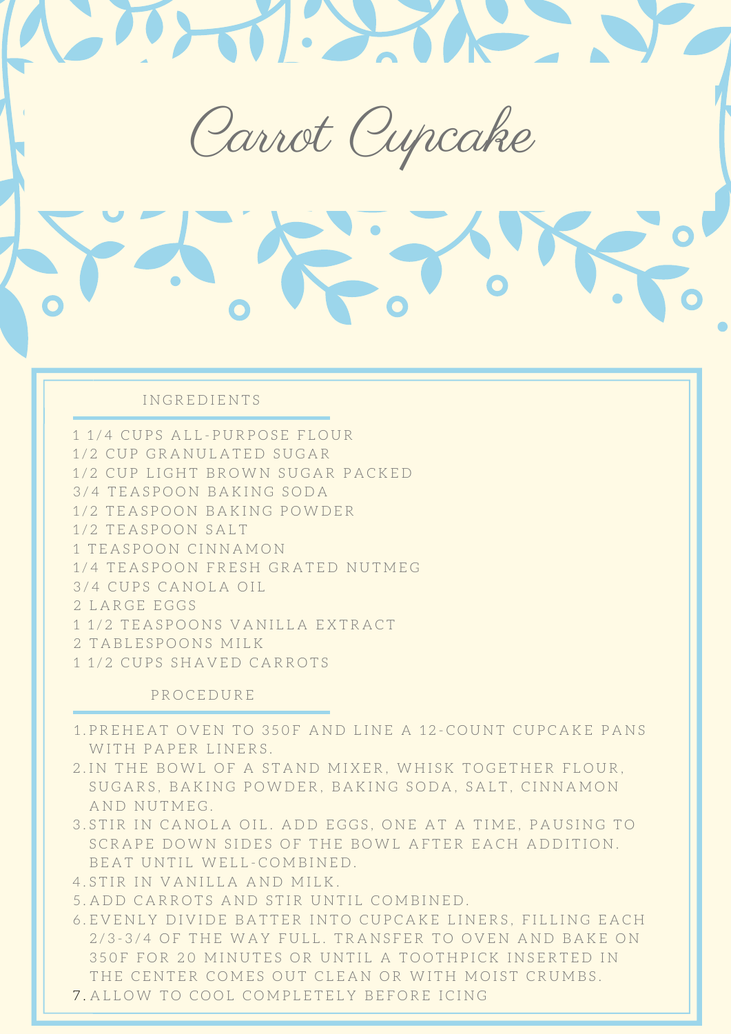..... 0 0 0 • Carrot Cupcake

## I N G R E D I E N T S

1 1/4 CUPS ALL-PURPOSE FLOUR 1/2 CUP GRANULATED SUGAR 1/2 CUP LIGHT BROWN SUGAR PACKED 3 / 4 T E A S P O O N B A K I N G S O D A 1 / 2 T E A S P O O N S A L T 1 / 4 T E A S P O O N F R E S H G R A T E D N U T M E G 3/4 CUPS CANOLA OIL 2 LARGE EGGS 1 1/2 TEASPOONS VANILLA EXTRACT 2 TABLESPOONS MILK 1 1/2 CUPS SHAVED CARROTS 1/2 TEASPOON BAKING POWDER 1 TEASPOON CINNAMON

- 1.PREHEAT OVEN TO 350F AND LINE A 12-COUNT CUPCAKE PANS WITH PAPER LINERS.
- 2.IN THE BOWL OF A STAND MIXER, WHISK TOGETHER FLOUR, SUGARS, BAKING POWDER, BAKING SODA, SALT, CINNAMON AND NUTMEG.
- 3.STIR IN CANOLA OIL. ADD EGGS, ONE AT A TIME, PAUSING TO SCRAPE DOWN SIDES OF THE BOWL AFTER EACH ADDITION. BEAT UNTIL WELL-COMBINED.
- 4.STIR IN VANILLA AND MILK.
- 5.ADD CARROTS AND STIR UNTIL COMBINED.
- 6. EVENLY DIVIDE BATTER INTO CUPCAKE LINERS, FILLING EACH 2/3-3/4 OF THE WAY FULL. TRANSFER TO OVEN AND BAKE ON 350F FOR 20 MINUTES OR UNTIL A TOOTHPICK INSERTED IN THE CENTER COMES OUT CLEAN OR WITH MOIST CRUMBS.
- 7. ALLOW TO COOL COMPLETELY BEFORE ICING